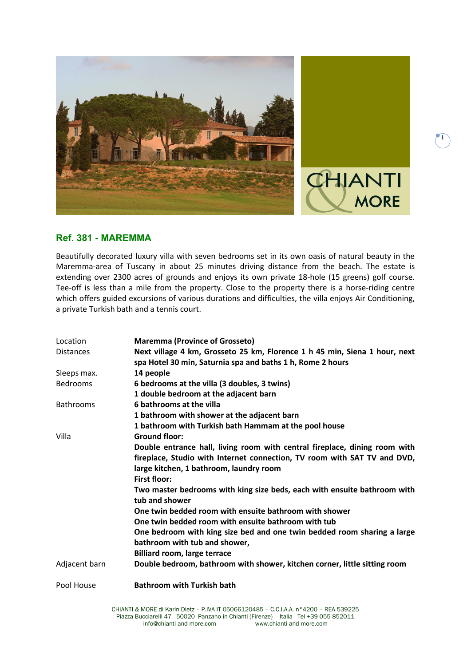

## **Ref. 381 - MAREMMA**

Beautifully decorated luxury villa with seven bedrooms set in its own oasis of natural beauty in the Maremma-area of Tuscany in about 25 minutes driving distance from the beach. The estate is extending over 2300 acres of grounds and enjoys its own private 18-hole (15 greens) golf course. Tee-off is less than a mile from the property. Close to the property there is a horse-riding centre which offers guided excursions of various durations and difficulties, the villa enjoys Air Conditioning, a private Turkish bath and a tennis court.

| Location         | <b>Maremma (Province of Grosseto)</b>                                      |
|------------------|----------------------------------------------------------------------------|
| <b>Distances</b> | Next village 4 km, Grosseto 25 km, Florence 1 h 45 min, Siena 1 hour, next |
|                  | spa Hotel 30 min, Saturnia spa and baths 1 h, Rome 2 hours                 |
| Sleeps max.      | 14 people                                                                  |
| Bedrooms         | 6 bedrooms at the villa (3 doubles, 3 twins)                               |
|                  | 1 double bedroom at the adjacent barn                                      |
| <b>Bathrooms</b> | 6 bathrooms at the villa                                                   |
|                  | 1 bathroom with shower at the adjacent barn                                |
|                  | 1 bathroom with Turkish bath Hammam at the pool house                      |
| Villa            | <b>Ground floor:</b>                                                       |
|                  | Double entrance hall, living room with central fireplace, dining room with |
|                  | fireplace, Studio with Internet connection, TV room with SAT TV and DVD,   |
|                  | large kitchen, 1 bathroom, laundry room                                    |
|                  | <b>First floor:</b>                                                        |
|                  | Two master bedrooms with king size beds, each with ensuite bathroom with   |
|                  | tub and shower                                                             |
|                  | One twin bedded room with ensuite bathroom with shower                     |
|                  | One twin bedded room with ensuite bathroom with tub                        |
|                  | One bedroom with king size bed and one twin bedded room sharing a large    |
|                  | bathroom with tub and shower,                                              |
|                  | <b>Billiard room, large terrace</b>                                        |
| Adjacent barn    | Double bedroom, bathroom with shower, kitchen corner, little sitting room  |
| Pool House       | <b>Bathroom with Turkish bath</b>                                          |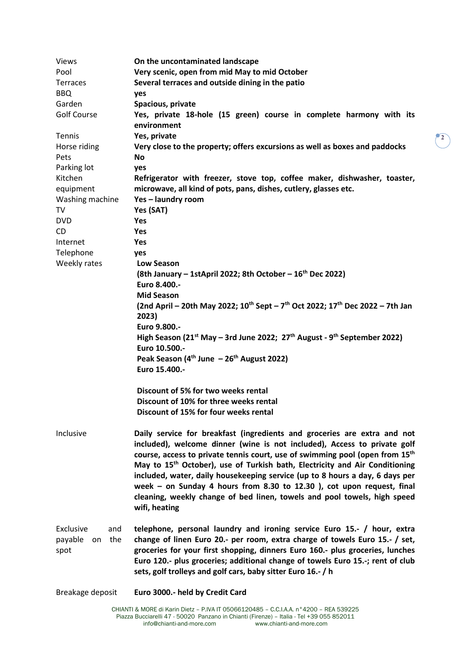| <b>Views</b>                                     | On the uncontaminated landscape                                                                                                                                                                                                                                                                                                                                                                                                                                                                                                                                                                    |
|--------------------------------------------------|----------------------------------------------------------------------------------------------------------------------------------------------------------------------------------------------------------------------------------------------------------------------------------------------------------------------------------------------------------------------------------------------------------------------------------------------------------------------------------------------------------------------------------------------------------------------------------------------------|
| Pool                                             | Very scenic, open from mid May to mid October                                                                                                                                                                                                                                                                                                                                                                                                                                                                                                                                                      |
| Terraces                                         | Several terraces and outside dining in the patio                                                                                                                                                                                                                                                                                                                                                                                                                                                                                                                                                   |
| <b>BBQ</b>                                       | yes                                                                                                                                                                                                                                                                                                                                                                                                                                                                                                                                                                                                |
| Garden                                           | Spacious, private                                                                                                                                                                                                                                                                                                                                                                                                                                                                                                                                                                                  |
| <b>Golf Course</b>                               | Yes, private 18-hole (15 green) course in complete harmony with its<br>environment                                                                                                                                                                                                                                                                                                                                                                                                                                                                                                                 |
| Tennis                                           | Yes, private                                                                                                                                                                                                                                                                                                                                                                                                                                                                                                                                                                                       |
| Horse riding                                     | Very close to the property; offers excursions as well as boxes and paddocks                                                                                                                                                                                                                                                                                                                                                                                                                                                                                                                        |
| Pets                                             | No                                                                                                                                                                                                                                                                                                                                                                                                                                                                                                                                                                                                 |
| Parking lot                                      | yes                                                                                                                                                                                                                                                                                                                                                                                                                                                                                                                                                                                                |
| Kitchen                                          | Refrigerator with freezer, stove top, coffee maker, dishwasher, toaster,                                                                                                                                                                                                                                                                                                                                                                                                                                                                                                                           |
| equipment                                        | microwave, all kind of pots, pans, dishes, cutlery, glasses etc.                                                                                                                                                                                                                                                                                                                                                                                                                                                                                                                                   |
| Washing machine                                  | Yes - laundry room                                                                                                                                                                                                                                                                                                                                                                                                                                                                                                                                                                                 |
| TV                                               | Yes (SAT)                                                                                                                                                                                                                                                                                                                                                                                                                                                                                                                                                                                          |
| <b>DVD</b>                                       | Yes                                                                                                                                                                                                                                                                                                                                                                                                                                                                                                                                                                                                |
| CD.                                              | Yes                                                                                                                                                                                                                                                                                                                                                                                                                                                                                                                                                                                                |
|                                                  | Yes                                                                                                                                                                                                                                                                                                                                                                                                                                                                                                                                                                                                |
| Internet                                         |                                                                                                                                                                                                                                                                                                                                                                                                                                                                                                                                                                                                    |
| Telephone                                        | yes<br><b>Low Season</b>                                                                                                                                                                                                                                                                                                                                                                                                                                                                                                                                                                           |
| Weekly rates                                     | (8th January – 1stApril 2022; 8th October – $16th$ Dec 2022)<br>Euro 8.400 .-                                                                                                                                                                                                                                                                                                                                                                                                                                                                                                                      |
|                                                  | <b>Mid Season</b>                                                                                                                                                                                                                                                                                                                                                                                                                                                                                                                                                                                  |
|                                                  | (2nd April – 20th May 2022; $10^{th}$ Sept – 7 <sup>th</sup> Oct 2022; $17^{th}$ Dec 2022 – 7th Jan<br>2023)                                                                                                                                                                                                                                                                                                                                                                                                                                                                                       |
|                                                  | Euro 9.800 .-                                                                                                                                                                                                                                                                                                                                                                                                                                                                                                                                                                                      |
|                                                  | High Season (21 <sup>st</sup> May – 3rd June 2022; 27 <sup>th</sup> August - 9 <sup>th</sup> September 2022)<br>Euro 10.500 .-                                                                                                                                                                                                                                                                                                                                                                                                                                                                     |
|                                                  | Peak Season (4 <sup>th</sup> June $-26$ <sup>th</sup> August 2022)<br>Euro 15.400 .-                                                                                                                                                                                                                                                                                                                                                                                                                                                                                                               |
|                                                  | Discount of 5% for two weeks rental<br>Discount of 10% for three weeks rental                                                                                                                                                                                                                                                                                                                                                                                                                                                                                                                      |
|                                                  | Discount of 15% for four weeks rental                                                                                                                                                                                                                                                                                                                                                                                                                                                                                                                                                              |
| Inclusive                                        | Daily service for breakfast (ingredients and groceries are extra and not<br>included), welcome dinner (wine is not included), Access to private golf<br>course, access to private tennis court, use of swimming pool (open from 15 <sup>th</sup><br>May to 15 <sup>th</sup> October), use of Turkish bath, Electricity and Air Conditioning<br>included, water, daily housekeeping service (up to 8 hours a day, 6 days per<br>week - on Sunday 4 hours from 8.30 to 12.30 ), cot upon request, final<br>cleaning, weekly change of bed linen, towels and pool towels, high speed<br>wifi, heating |
| Exclusive<br>and<br>payable<br>the<br>on<br>spot | telephone, personal laundry and ironing service Euro 15.- / hour, extra<br>change of linen Euro 20.- per room, extra charge of towels Euro 15.- / set,<br>groceries for your first shopping, dinners Euro 160.- plus groceries, lunches<br>Euro 120.- plus groceries; additional change of towels Euro 15.-; rent of club<br>sets, golf trolleys and golf cars, baby sitter Euro 16.-/h                                                                                                                                                                                                            |
| Breakage deposit                                 | Euro 3000 .- held by Credit Card                                                                                                                                                                                                                                                                                                                                                                                                                                                                                                                                                                   |
|                                                  | CHIANTI & MORE di Karin Dietz - P.IVA IT 05066120485 - C.C.I.A.A. n°4200 - REA 539225<br>Piazza Bucciarelli 47 - 50020 Panzano in Chianti (Firenze) - Italia - Tel +39 055 852011                                                                                                                                                                                                                                                                                                                                                                                                                  |

**2**

info@chianti-and-more.com www.chianti-and-more.com